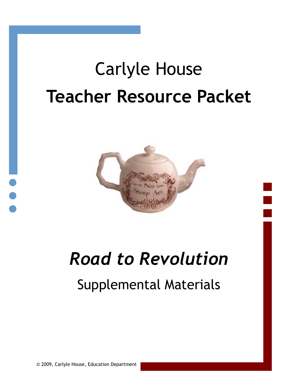# Carlyle House **Teacher Resource Packet**



# *Road to Revolution*

# Supplemental Materials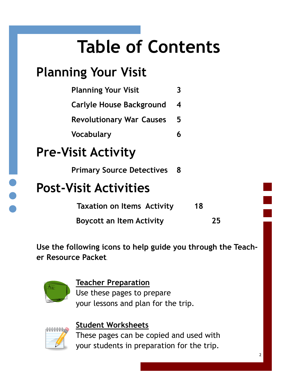# **Table of Contents**

## **Planning Your Visit**

| <b>Planning Your Visit</b>      |   |
|---------------------------------|---|
| <b>Carlyle House Background</b> | 4 |
| <b>Revolutionary War Causes</b> | 5 |
| <b>Vocabulary</b>               |   |

## **Pre-Visit Activity**

**Primary Source Detectives 8**

### **Post-Visit Activities**

 **Taxation on Items Activity <sup>18</sup>**

 **Boycott an Item Activity 25**

**Use the following icons to help guide you through the Teacher Resource Packet.** 



#### **Teacher Preparation**

Use these pages to prepare your lessons and plan for the trip.



#### **Student Worksheets**

These pages can be copied and used with your students in preparation for the trip.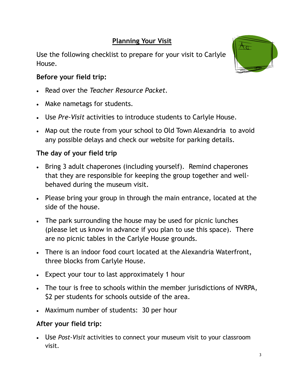#### **Planning Your Visit**

Use the following checklist to prepare for your visit to Carlyle House.

#### **Before your field trip:**

- Read over the *Teacher Resource Packet.*
- Make nametags for students.
- Use *Pre-Visit* activities to introduce students to Carlyle House.
- Map out the route from your school to Old Town Alexandria to avoid any possible delays and check our website for parking details.

#### **The day of your field trip**

- Bring 3 adult chaperones (including yourself). Remind chaperones that they are responsible for keeping the group together and wellbehaved during the museum visit.
- Please bring your group in through the main entrance, located at the side of the house.
- The park surrounding the house may be used for picnic lunches (please let us know in advance if you plan to use this space). There are no picnic tables in the Carlyle House grounds.
- There is an indoor food court located at the Alexandria Waterfront, three blocks from Carlyle House.
- Expect your tour to last approximately 1 hour
- The tour is free to schools within the member jurisdictions of NVRPA, \$2 per students for schools outside of the area.
- Maximum number of students: 30 per hour

#### **After your field trip:**

 Use *Post-Visit* activities to connect your museum visit to your classroom visit.

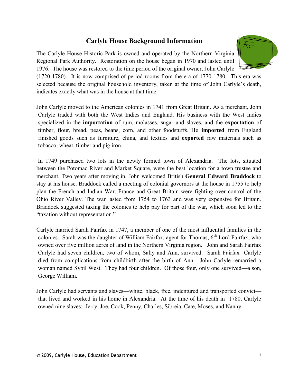#### **Carlyle House Background Information**

The Carlyle House Historic Park is owned and operated by the Northern Virginia Regional Park Authority. Restoration on the house began in 1970 and lasted until 1976. The house was restored to the time period of the original owner, John Carlyle



(1720-1780). It is now comprised of period rooms from the era of 1770-1780. This era was selected because the original household inventory, taken at the time of John Carlyle's death, indicates exactly what was in the house at that time.

John Carlyle moved to the American colonies in 1741 from Great Britain. As a merchant, John Carlyle traded with both the West Indies and England. His business with the West Indies specialized in the **importation** of rum, molasses, sugar and slaves, and the **exportation** of timber, flour, bread, peas, beans, corn, and other foodstuffs. He **imported** from England finished goods such as furniture, china, and textiles and **exported** raw materials such as tobacco, wheat, timber and pig iron.

In 1749 purchased two lots in the newly formed town of Alexandria. The lots, situated between the Potomac River and Market Square, were the best location for a town trustee and merchant. Two years after moving in, John welcomed British **General Edward Braddock** to stay at his house. Braddock called a meeting of colonial governors at the house in 1755 to help plan the French and Indian War. France and Great Britain were fighting over control of the Ohio River Valley. The war lasted from 1754 to 1763 and was very expensive for Britain. Braddock suggested taxing the colonies to help pay for part of the war, which soon led to the "taxation without representation."

Carlyle married Sarah Fairfax in 1747, a member of one of the most influential families in the colonies. Sarah was the daughter of William Fairfax, agent for Thomas,  $6<sup>th</sup>$  Lord Fairfax, who owned over five million acres of land in the Northern Virginia region. John and Sarah Fairfax Carlyle had seven children, two of whom, Sally and Ann, survived. Sarah Fairfax Carlyle died from complications from childbirth after the birth of Ann. John Carlyle remarried a woman named Sybil West. They had four children. Of those four, only one survived—a son, George William.

John Carlyle had servants and slaves—white, black, free, indentured and transported convict that lived and worked in his home in Alexandria. At the time of his death in 1780, Carlyle owned nine slaves: Jerry, Joe, Cook, Penny, Charles, Sibreia, Cate, Moses, and Nanny.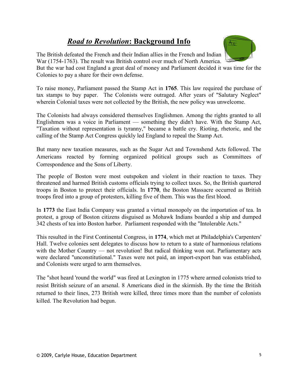#### *Road to Revolution***: Background Info**

The British defeated the French and their Indian allies in the French and Indian War (1754-1763). The result was British control over much of North America.

 $\overline{\mathcal{H}_{\alpha}}$ 

But the war had cost England a great deal of money and Parliament decided it was time for the Colonies to pay a share for their own defense.

To raise money, Parliament passed the Stamp Act in **1765**. This law required the purchase of tax stamps to buy paper. The Colonists were outraged. After years of "Salutary Neglect" wherein Colonial taxes were not collected by the British, the new policy was unwelcome.

The Colonists had always considered themselves Englishmen. Among the rights granted to all Englishmen was a voice in Parliament — something they didn't have. With the Stamp Act, "Taxation without representation is tyranny," became a battle cry. Rioting, rhetoric, and the calling of the Stamp Act Congress quickly led England to repeal the Stamp Act.

But many new taxation measures, such as the Sugar Act and Townshend Acts followed. The Americans reacted by forming organized political groups such as Committees of Correspondence and the Sons of Liberty.

The people of Boston were most outspoken and violent in their reaction to taxes. They threatened and harmed British customs officials trying to collect taxes. So, the British quartered troops in Boston to protect their officials. In **1770**, the Boston Massacre occurred as British troops fired into a group of protesters, killing five of them. This was the first blood.

In **1773** the East India Company was granted a virtual monopoly on the importation of tea. In protest, a group of Boston citizens disguised as Mohawk Indians boarded a ship and dumped 342 chests of tea into Boston harbor. Parliament responded with the "Intolerable Acts."

This resulted in the First Continental Congress, in **1774**, which met at Philadelphia's Carpenters' Hall. Twelve colonies sent delegates to discuss how to return to a state of harmonious relations with the Mother Country — not revolution! But radical thinking won out. Parliamentary acts were declared "unconstitutional." Taxes were not paid, an import-export ban was established, and Colonists were urged to arm themselves.

The "shot heard 'round the world" was fired at Lexington in 1775 where armed colonists tried to resist British seizure of an arsenal. 8 Americans died in the skirmish. By the time the British returned to their lines, 273 British were killed, three times more than the number of colonists killed. The Revolution had begun.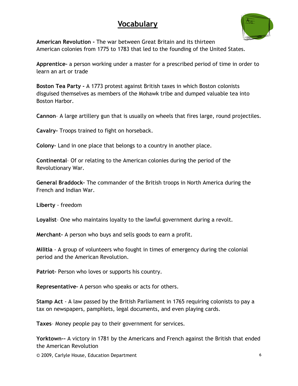#### **Vocabulary**



**American Revolution -** The war between Great Britain and its thirteen American colonies from 1775 to 1783 that led to the founding of the United States.

**Apprentice–** a person working under a master for a prescribed period of time in order to learn an art or trade

**Boston Tea Party -** A 1773 protest against British taxes in which Boston colonists disguised themselves as members of the Mohawk tribe and dumped valuable tea into Boston Harbor.

**Cannon**– A large artillery gun that is usually on wheels that fires large, round projectiles.

**Cavalry-** Troops trained to fight on horseback.

**Colony–** Land in one place that belongs to a country in another place.

**Continental**– Of or relating to the American colonies during the period of the Revolutionary War.

**General Braddock–** The commander of the British troops in North America during the French and Indian War.

**Liberty** - freedom

**Loyalist**– One who maintains loyalty to the lawful government during a revolt.

**Merchant–** A person who buys and sells goods to earn a profit.

**Militia** - A group of volunteers who fought in times of emergency during the colonial period and the American Revolution.

Patriot- Person who loves or supports his country.

**Representative–** A person who speaks or acts for others.

**Stamp Act** - A law passed by the British Parliament in 1765 requiring colonists to pay a tax on newspapers, pamphlets, legal documents, and even playing cards.

**Taxes**– Money people pay to their government for services.

**Yorktown--** A victory in 1781 by the Americans and French against the British that ended the American Revolution

© 2009, Carlyle House, Education Department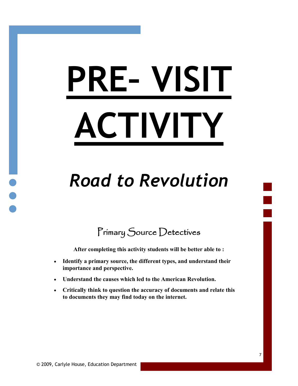# **PRE– VISIT ACTIVITY**

# *Road to Revolution*

Primary Source Detectives

**After completing this activity students will be better able to :**

- **Identify a primary source, the different types, and understand their importance and perspective.**
- **Understand the causes which led to the American Revolution.**
- **Critically think to question the accuracy of documents and relate this to documents they may find today on the internet.**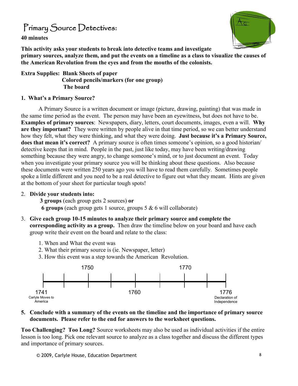#### Primary Source Detectives**:**

**40 minutes**



**This activity asks your students to break into detective teams and investigate primary sources, analyze them, and put the events on a timeline as a class to visualize the causes of the American Revolution from the eyes and from the mouths of the colonists.**

**Extra Supplies: Blank Sheets of paper Colored pencils/markers (for one group) The board**

#### **1. What's a Primary Source?**

A Primary Source is a written document or image (picture, drawing, painting) that was made in the same time period as the event. The person may have been an eyewitness, but does not have to be. **Examples of primary sources**: Newspapers, diary, letters, court documents, images, even a will. **Why are they important?** They were written by people alive in that time period, so we can better understand how they felt, what they were thinking, and what they were doing. **Just because it's a Primary Source, does that mean it's correct?** A primary source is often times someone's opinion, so a good historian/ detective keeps that in mind. People in the past, just like today, may have been writing/drawing something because they were angry, to change someone's mind, or to just document an event. Today when you investigate your primary source you will be thinking about these questions. Also because these documents were written 250 years ago you will have to read them carefully. Sometimes people spoke a little different and you need to be a real detective to figure out what they meant. Hints are given at the bottom of your sheet for particular tough spots!

#### 2. **Divide your students into:**

**3 groups** (each group gets 2 sources) **or** 

 **6 groups** (each group gets 1 source, groups 5 & 6 will collaborate)

- 3. **Give each group 10-15 minutes to analyze their primary source and complete the corresponding activity as a group.** Then draw the timeline below on your board and have each group write their event on the board and relate to the class:
	- 1. When and What the event was
	- 2. What their primary source is (ie. Newspaper, letter)
	- 3. How this event was a step towards the American Revolution.



#### **5. Conclude with a summary of the events on the timeline and the importance of primary source documents. Please refer to the end for answers to the worksheet questions.**

**Too Challenging? Too Long?** Source worksheets may also be used as individual activities if the entire lesson is too long. Pick one relevant source to analyze as a class together and discuss the different types and importance of primary sources.

© 2009, Carlyle House, Education Department 8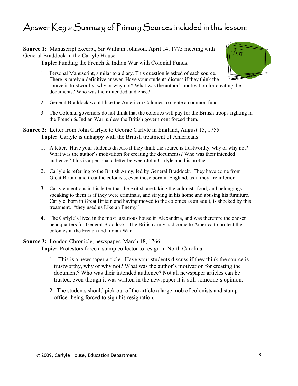#### Answer Key & Summary of Primary Sources included in this lesson:

**Source 1:** Manuscript excerpt, Sir William Johnson, April 14, 1775 meeting with General Braddock in the Carlyle House.

**Topic:** Funding the French & Indian War with Colonial Funds.

- 1. Personal Manuscript, similar to a diary. This question is asked of each source. There is rarely a definitive answer. Have your students discuss if they think the source is trustworthy, why or why not? What was the author's motivation for creating the documents? Who was their intended audience?
- 2. General Braddock would like the American Colonies to create a common fund.
- 3. The Colonial governors do not think that the colonies will pay for the British troops fighting in the French & Indian War, unless the British government forced them.
- **Source 2:** Letter from John Carlyle to George Carlyle in England, August 15, 1755. **Topic:** Carlyle is unhappy with the British treatment of Americans.
	- 1. A letter. Have your students discuss if they think the source is trustworthy, why or why not? What was the author's motivation for creating the documents? Who was their intended audience? This is a personal a letter between John Carlyle and his brother.
	- 2. Carlyle is referring to the British Army, led by General Braddock. They have come from Great Britain and treat the colonists, even those born in England, as if they are inferior.
	- 3. Carlyle mentions in his letter that the British are taking the colonists food, and belongings, speaking to them as if they were criminals, and staying in his home and abusing his furniture. Carlyle, born in Great Britain and having moved to the colonies as an adult, is shocked by this treatment. "they used us Like an Enemy"
	- 4. The Carlyle's lived in the most luxurious house in Alexandria, and was therefore the chosen headquarters for General Braddock. The British army had come to America to protect the colonies in the French and Indian War.
- **Source 3:** London Chronicle, newspaper, March 18, 1766 **Topic:** Protestors force a stamp collector to resign in North Carolina
	- 1. This is a newspaper article. Have your students discuss if they think the source is trustworthy, why or why not? What was the author's motivation for creating the document? Who was their intended audience? Not all newspaper articles can be trusted, even though it was written in the newspaper it is still someone's opinion.
	- 2. The students should pick out of the article a large mob of colonists and stamp officer being forced to sign his resignation.

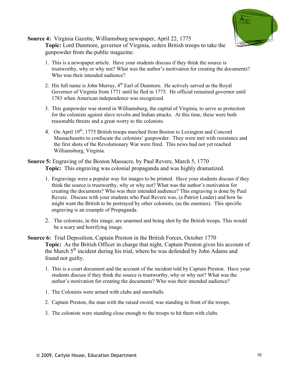

**Source 4:** Virginia Gazette, Williamsburg newspaper, April 22, 1775 **Topic:** Lord Dunmore, governor of Virginia, orders British troops to take the gunpowder from the public magazine.

- 1. This is a newspaper article. Have your students discuss if they think the source is trustworthy, why or why not? What was the author's motivation for creating the documents? Who was their intended audience?
- 2. His full name is John Murray,  $4<sup>th</sup>$  Earl of Dunmore. He actively served as the Royal Governor of Virginia from 1771 until he fled in 1775. He official remained governor until 1783 when American independence was recognized.
- 3. This gunpowder was stored in Williamsburg, the capital of Virginia, to serve as protection for the colonists against slave revolts and Indian attacks. At this time, these were both reasonable threats and a great worry to the colonists.
- 4. On April 19<sup>th</sup>, 1775 British troops marched from Boston to Lexington and Concord Massachusetts to confiscate the colonists' gunpowder. They were met with resistance and the first shots of the Revolutionary War were fired. This news had not yet reached Williamsburg, Virginia.

#### **Source 5:** Engraving of the Boston Massacre, by Paul Revere, March 5, 1770 **Topic:** This engraving was colonial propaganda and was highly dramatized.

- 1. Engravings were a popular way for images to be printed. Have your students discuss if they think the source is trustworthy, why or why not? What was the author's motivation for creating the documents? Who was their intended audience? This engraving is done by Paul Revere. Discuss with your students who Paul Revere was, (a Patriot Leader) and how he might want the British to be portrayed by other colonists, (as the enemies). This specific engraving is an example of Propaganda.
- 2. The colonists, in this image, are unarmed and being shot by the British troops. This would be a scary and horrifying image.
- **Source 6:** Trial Deposition, Captain Preston in the British Forces, October 1770 **Topic:** As the British Officer in charge that night, Captain Preston gives his account of the March  $5<sup>th</sup>$  incident during his trial, where he was defended by John Adams and found not guilty.
	- 1. This is a court document and the account of the incident told by Captain Preston. Have your students discuss if they think the source is trustworthy, why or why not? What was the author's motivation for creating the documents? Who was their intended audience?
	- 1. The Colonists were armed with clubs and snowballs.
	- 2. Captain Preston, the man with the raised sword, was standing in front of the troops.
	- 3. The colonists were standing close enough to the troops to hit them with clubs.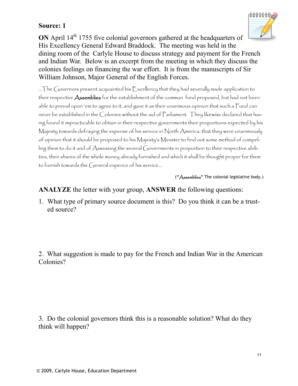

**ON** April 14<sup>th</sup> 1755 five colonial governors gathered at the headquarters of His Excellency General Edward Braddock. The meeting was held in the dining room of the Carlyle House to discuss strategy and payment for the French and Indian War. Below is an excerpt from the meeting in which they discuss the colonies feelings on financing the war effort. It is from the manuscripts of Sir William Johnson, Major General of the English Forces.

…The Governors present acquainted his  $\mathbb E$ xcellency that they had severally made application to their respective **Assemblies** for the establishment of the common fund proposed, but had not been able to prevail upon 'em to agree to it, and gave it as their unanimous opinion that such a Fund can never be established in the Colonies without the aid of Parliament. They likewise declared that having found it impracticable to obtain in their respective governments their proportions expected by his Majesty towards defraying the expense of his service in North America, that they were unanimously of opinion that it should be proposed to his Majesty's Minister to find out some method of compelling them to do it and of Assessing the several Governments in proportion to their respective abilities, their shares of the whole money already furnished and which it shall be thought proper for them to furnish towards the General expence of his service…

(**"**Assemblies**"** The colonial legislative body.)

#### **ANALYZE** the letter with your group, **ANSWER** the following questions:

1. What type of primary source document is this? Do you think it can be a trusted source?

2. What suggestion is made to pay for the French and Indian War in the American Colonies?

3. Do the colonial governors think this is a reasonable solution? What do they think will happen?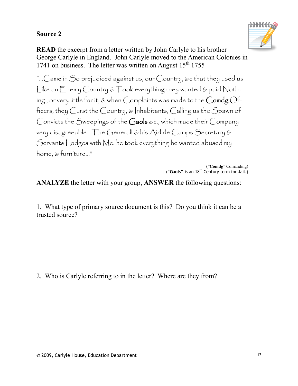

**READ** the excerpt from a letter written by John Carlyle to his brother George Carlyle in England. John Carlyle moved to the American Colonies in 1741 on business. The letter was written on August  $15<sup>th</sup> 1755$ 

"…Came in So prejudiced against us, our Country, &c that they used us Like an Enemy Country & Took everything they wanted & paid Nothing, or very little for it, & when Complaints was made to the Comdg Officers, they Curst the Country, & Inhabitants, Calling us the Spawn of Convicts the Sweepings of the Gaols &c., which made their Company very disagreeable—The Generall & his Aid de Camps Secretary & Servants Lodges with Me, he took everything he wanted abused my home, & furniture…"

> ("**Comdg**" Comanding) ("**Gaols"** is an 18th Century term for Jail.)

**ANALYZE** the letter with your group, **ANSWER** the following questions:

1. What type of primary source document is this? Do you think it can be a trusted source?

2. Who is Carlyle referring to in the letter? Where are they from?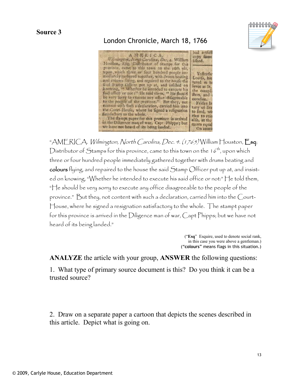#### London Chronicle, March 18, 1766

"AMERICA. *Wilmington, North Carolina, Dec. 4. (1765)* William Houston, Esq; Distributor of Stamps for this province, came to this town on the  $16^{th}$ , upon which three or four hundred people immediately gathered together with drums beating and colours flying, and repaired to the house the said Stamp Officer put up at, and insisted on knowing, "Whether he intended to execute his said office or not:" He told them, "He should be very sorry to execute any office disagreeable to the people of the province." But they, not content with such a declaration, carried him into the Court-House, where he signed a resignation satisfactory to the whole. The stampt paper for this province is arrived in the Diligence man of war, Capt Phipps; but we have not heard of its being landed."

> ("**Esq**" Esquire, used to denote social rank, in this case you were above a gentleman.) ("**colours**" means flags in this situation.)

**ANALYZE** the article with your group, **ANSWER** the following questions:

1. What type of primary source document is this? Do you think it can be a trusted source?

2. Draw on a separate paper a cartoon that depicts the scenes described in this article. Depict what is going on.



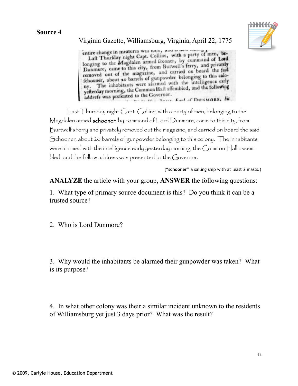

#### Virginia Gazette, Williamsburg, Virginia, April 22, 1775

entire change in meatures will loon, and a party of men, be-<br>Laft Thurfday night Capt. Collins, with a party of men, be-Laft Thurfday night Capt. Comms, while a prominand of Lord<br>longing to the Magdalen armed fcooner, by command of Lord longing to the Magdalen armed icooner, by ferry, and privately<br>Dunmore, came to this city, from Burwell's ferry, and privately Dunmore, came to this city, from Burwen sterily board the faid<br>removed out of the magazine, and carried on board the faid removed out of the magazine, and carrier belonging to this colo-<br>fchooner, about 20 barrels of gunpowder belonging to this colofchooner, about 20 barrels of gunpowder beinging<br>ny. The inhabitants were alarmed with the intelligence early ny. The inhabitants were alarmed with the antibied, and the following<br>yefterday morning, the Common Hall affembled, and the following address was prefented to the Governor. **Ni Li Har Jour Farl of DUNMORE, by** 

Last Thursday night Capt. Collins, with a party of men, belonging to the Magdalen armed schooner, by command of Lord Dunmore, came to this city, from Burtwell's ferry and privately removed out the magazine, and carried on board the said Schooner, about 20 barrels of gunpowder belonging to this colony. The inhabitants were alarmed with the intelligence early yesterday morning, the Common Hall assembled, and the follow address was presented to the Governor.

("**schooner**" a sailing ship with at least 2 masts.)

**ANALYZE** the article with your group, **ANSWER** the following questions:

1. What type of primary source document is this? Do you think it can be a trusted source?

2. Who is Lord Dunmore?

3. Why would the inhabitants be alarmed their gunpowder was taken? What is its purpose?

4. In what other colony was their a similar incident unknown to the residents of Williamsburg yet just 3 days prior? What was the result?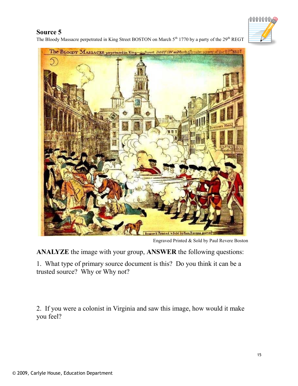# ՠՠՠՠ

#### **Source 5**

The Bloody Massacre perpetrated in King Street BOSTON on March 5<sup>th</sup> 1770 by a party of the 29<sup>th</sup> REGT



Engraved Printed & Sold by Paul Revere Boston

**ANALYZE** the image with your group, **ANSWER** the following questions:

1. What type of primary source document is this? Do you think it can be a trusted source? Why or Why not?

2. If you were a colonist in Virginia and saw this image, how would it make you feel?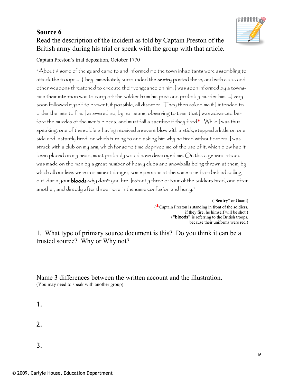#### Read the description of the incident as told by Captain Preston of the British army during his trial or speak with the group with that article.

#### Captain Preston's trial deposition, October 1770

"About 9 some of the guard came to and informed me the town inhabitants were assembling to attack the troops... They immediately surrounded the sentry posted there, and with clubs and other weapons threatened to execute their vengeance on him. I was soon informed by a townsman their intention was to carry off the soldier from his post and probably murder him. …I very soon followed myself to prevent, if possible, all disorder… They then asked me if I intended to order the men to fire. I answered no, by no means, observing to them that I was advanced before the muzzles of the men's pieces, and must fall a sacrifice if they fired**\***…While I was thus speaking, one of the soldiers having received a severe blow with a stick, stepped a little on one side and instantly fired, on which turning to and asking him why he fired without orders, I was struck with a club on my arm, which for some time deprived me of the use of it, which blow had it been placed on my head, most probably would have destroyed me. On this a general attack was made on the men by a great number of heavy clubs and snowballs being thrown at them, by which all our lives were in imminent danger, some persons at the same time from behind calling out, damn your **bloods**-why don't you fire. Instantly three or four of the soldiers fired, one after another, and directly after three more in the same confusion and hurry."

> ("**Sentry**" or Guard) (**\***Captain Preston is standing in front of the soldiers, if they fire, he himself will be shot.) ("**bloods**" is referring to the British troops, because their uniforms were red.)

1. What type of primary source document is this? Do you think it can be a trusted source? Why or Why not?

Name 3 differences between the written account and the illustration. (You may need to speak with another group)

- 1.
- 2.
- 3.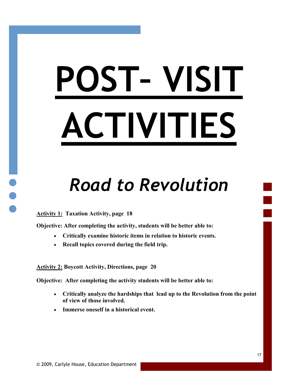# **POST– VISIT ACTIVITIES**

# *Road to Revolution*

**Activity 1: Taxation Activity, page 18**

**Objective: After completing the activity, students will be better able to:**

- **Critically examine historic items in relation to historic events.**
- **Recall topics covered during the field trip.**

**Activity 2: Boycott Activity, Directions, page 20**

**Objective: After completing the activity students will be better able to:**

- **Critically analyze the hardships that lead up to the Revolution from the point of view of those involved.**
- **Immerse oneself in a historical event.**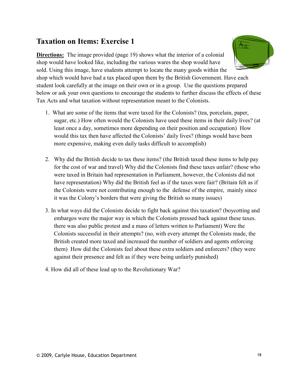#### **Taxation on Items: Exercise 1**

**Directions:** The image provided (page 19) shows what the interior of a colonial shop would have looked like, including the various wares the shop would have sold. Using this image, have students attempt to locate the many goods within the shop which would have had a tax placed upon them by the British Government. Have each

student look carefully at the image on their own or in a group. Use the questions prepared below or ask your own questions to encourage the students to further discuss the effects of these Tax Acts and what taxation without representation meant to the Colonists.

- 1. What are some of the items that were taxed for the Colonists? (tea, porcelain, paper, sugar, etc.) How often would the Colonists have used these items in their daily lives? (at least once a day, sometimes more depending on their position and occupation) How would this tax then have affected the Colonists' daily lives? (things would have been more expensive, making even daily tasks difficult to accomplish)
- 2. Why did the British decide to tax these items? (the British taxed these items to help pay for the cost of war and travel) Why did the Colonists find these taxes unfair? (those who were taxed in Britain had representation in Parliament, however, the Colonists did not have representation) Why did the British feel as if the taxes were fair? (Britain felt as if the Colonists were not contributing enough to the defense of the empire, mainly since it was the Colony's borders that were giving the British so many issues)
- 3. In what ways did the Colonists decide to fight back against this taxation? (boycotting and embargos were the major way in which the Colonists pressed back against these taxes. there was also public protest and a mass of letters written to Parliament) Were the Colonists successful in their attempts? (no, with every attempt the Colonists made, the British created more taxed and increased the number of soldiers and agents enforcing them) How did the Colonists feel about these extra soldiers and enforcers? (they were against their presence and felt as if they were being unfairly punished)
- 4. How did all of these lead up to the Revolutionary War?

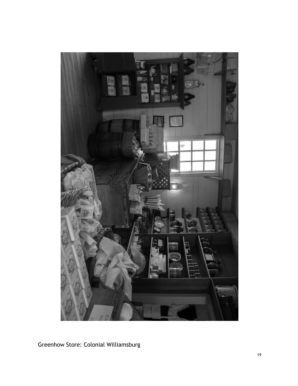

Greenhow Store: Colonial Williamsburg